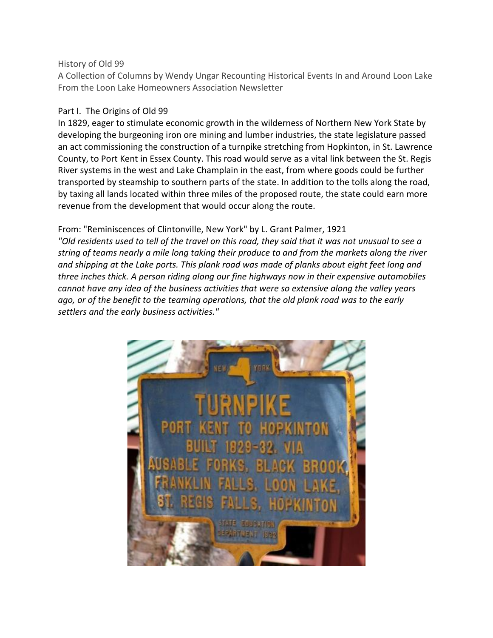#### History of Old 99

A Collection of Columns by Wendy Ungar Recounting Historical Events In and Around Loon Lake From the Loon Lake Homeowners Association Newsletter

### Part I. The Origins of Old 99

In 1829, eager to stimulate economic growth in the wilderness of Northern New York State by developing the burgeoning iron ore mining and lumber industries, the state legislature passed an act commissioning the construction of a turnpike stretching from Hopkinton, in St. Lawrence County, to Port Kent in Essex County. This road would serve as a vital link between the St. Regis River systems in the west and Lake Champlain in the east, from where goods could be further transported by steamship to southern parts of the state. In addition to the tolls along the road, by taxing all lands located within three miles of the proposed route, the state could earn more revenue from the development that would occur along the route.

## From: "Reminiscences of Clintonville, New York" by L. Grant Palmer, 1921

*"Old residents used to tell of the travel on this road, they said that it was not unusual to see a string of teams nearly a mile long taking their produce to and from the markets along the river and shipping at the Lake ports. This plank road was made of planks about eight feet long and three inches thick. A person riding along our fine highways now in their expensive automobiles cannot have any idea of the business activities that were so extensive along the valley years ago, or of the benefit to the teaming operations, that the old plank road was to the early settlers and the early business activities."*

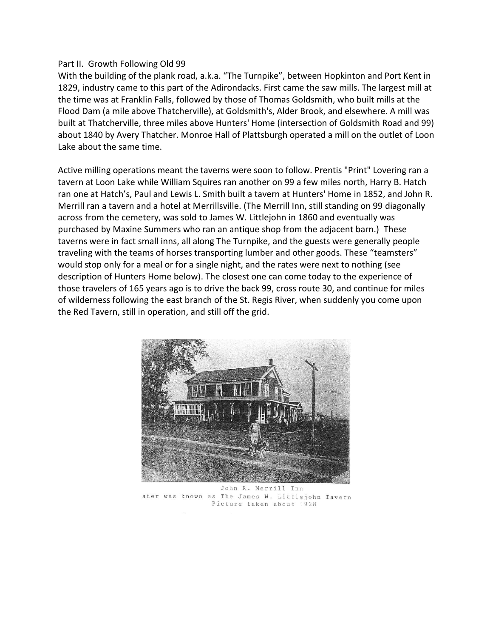#### Part II. Growth Following Old 99

With the building of the plank road, a.k.a. "The Turnpike", between Hopkinton and Port Kent in 1829, industry came to this part of the Adirondacks. First came the saw mills. The largest mill at the time was at Franklin Falls, followed by those of Thomas Goldsmith, who built mills at the Flood Dam (a mile above Thatcherville), at Goldsmith's, Alder Brook, and elsewhere. A mill was built at Thatcherville, three miles above Hunters' Home (intersection of Goldsmith Road and 99) about 1840 by Avery Thatcher. Monroe Hall of Plattsburgh operated a mill on the outlet of Loon Lake about the same time.

Active milling operations meant the taverns were soon to follow. Prentis "Print" Lovering ran a tavern at Loon Lake while William Squires ran another on 99 a few miles north, Harry B. Hatch ran one at Hatch's, Paul and Lewis L. Smith built a tavern at Hunters' Home in 1852, and John R. Merrill ran a tavern and a hotel at Merrillsville. (The Merrill Inn, still standing on 99 diagonally across from the cemetery, was sold to James W. Littlejohn in 1860 and eventually was purchased by Maxine Summers who ran an antique shop from the adjacent barn.) These taverns were in fact small inns, all along The Turnpike, and the guests were generally people traveling with the teams of horses transporting lumber and other goods. These "teamsters" would stop only for a meal or for a single night, and the rates were next to nothing (see description of Hunters Home below). The closest one can come today to the experience of those travelers of 165 years ago is to drive the back 99, cross route 30, and continue for miles of wilderness following the east branch of the St. Regis River, when suddenly you come upon the Red Tavern, still in operation, and still off the grid.



John R. Merrill Inn ater was known as The James W. Littlejohn Tavern Picture taken about 1928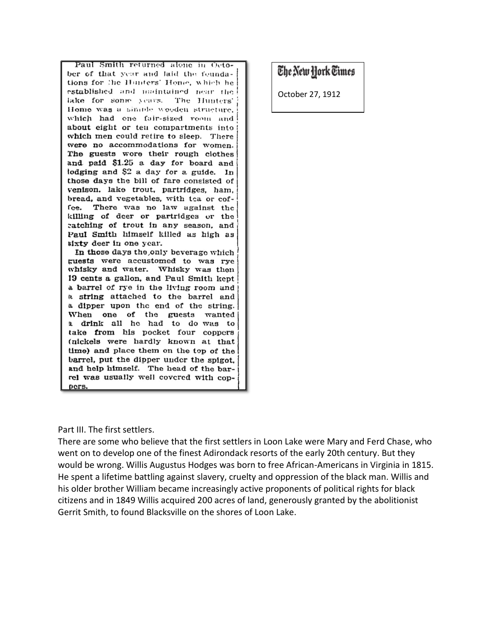Paul Smith returned alone in October of that year and laid the feundations for the Hunters' Home, which he established and maintained near the lake for song years. The Hunters' Home was a simple wooden structure. which had one fair-sized room and about eight or ten compartments into which men could retire to sleep. There were no accommodations for women. The guests wore their rough clothes and paid \$1.25 a day for board and lodging and \$2 a day for a guide. In those days the bill of fare consisted of venison. lake trout, partridges, ham, bread, and vegetables, with tca or coffee. There was no law against the killing of deer or partridges or the catching of trout in any season, and Paul Smith himself killed as high as sixty deer in one year.

In those days the only beverage which guests were accustomed to was rye whisky and water. Whisky was then 19 cents a gallon, and Paul Smith kept a barrel of rye in the living room and a string attached to the barrel and a dipper upon the end of the string. When one of the guests wanted a drink all he had to do was to take from his pocket four coppers (nickels were hardly known at that time) and place them on the top of the barrel, put the dipper under the spigot. and help himself. The head of the barrel was usually well covered with copрегв.

# The New Hork Times

October 27, 1912

Part III. The first settlers.

There are some who believe that the first settlers in Loon Lake were Mary and Ferd Chase, who went on to develop one of the finest Adirondack resorts of the early 20th century. But they would be wrong. Willis Augustus Hodges was born to free African-Americans in Virginia in 1815. He spent a lifetime battling against slavery, cruelty and oppression of the black man. Willis and his older brother William became increasingly active proponents of political rights for black citizens and in 1849 Willis acquired 200 acres of land, generously granted by the abolitionist Gerrit Smith, to found Blacksville on the shores of Loon Lake.